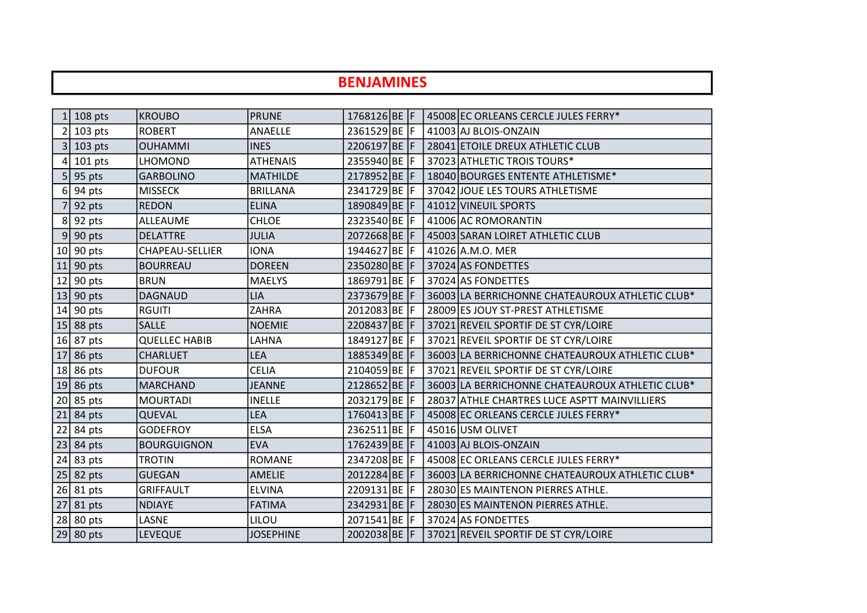## 1 108 pts KROUBO **PRUNE** 1768126 BE F 45008 EC ORLEANS CERCLE JULES FERRY\* 2 103 pts ROBERT ANAELLE 2361529 BE F 41003 AJ BLOIS-ONZAIN 3 103 pts OUHAMMI INES 2206197 BE F 28041 ETOILE DREUX ATHLETIC CLUB 4 101 pts LHOMOND ATHENAIS 2355940 BE F 37023 ATHLETIC TROIS TOURS\* 5 95 pts GARBOLINO MATHILDE 2178952 BE F 18040 BOURGES ENTENTE ATHLETISME<sup>\*</sup> 6 94 pts MISSECK BRILLANA 2341729 BE F 37042 JOUE LES TOURS ATHLETISME 7 92 pts REDON ELINA 1890849 BE F 41012 VINEUIL SPORTS 8 92 pts ALLEAUME CHLOE 2323540 BE F 41006 AC ROMORANTIN 9 90 pts DELATTRE JULIA 2072668 BE F 45003 SARAN LOIRET ATHLETIC CLUB 10 90 pts CHAPEAU-SELLIER 10NA 1944627 BE F 41026 A.M.O. MER 11 90 pts BOURREAU DOREEN 2350280 BE F 37024 AS FONDETTES 12 90 pts BRUN MAELYS 1869791 BE F 37024 AS FONDETTES 13 90 pts DAGNAUD LIA 2373679 BE F 36003 LA BERRICHONNE CHATEAUROUX ATHLETIC CLUB<sup>\*</sup> 14 90 pts RGUITI 2ZAHRA 2012083 BE F 28009 ES JOUY ST-PREST ATHLETISME 15 88 pts SALLE NOEMIE 2208437 BE F 37021 REVEIL SPORTIF DE ST CYR/LOIRE 16 87 pts QUELLEC HABIB LAHNA 1849127 BE F 37021 REVEIL SPORTIF DE ST CYR/LOIRE 17 86 pts CHARLUET LEA 1885349 BE F 36003 LA BERRICHONNE CHATEAUROUX ATHLETIC CLUB\* 18 86 pts DUFOUR CELIA 2104059 BE F 37021 REVEIL SPORTIF DE ST CYR/LOIRE 19 86 pts | MARCHAND | JEANNE | 2128652 BE F 36003 LA BERRICHONNE CHATEAUROUX ATHLETIC CLUB\* 20 85 pts MOURTADI INELLE 2032179 BE F 28037 ATHLE CHARTRES LUCE ASPTT MAINVILLIERS 21 84 pts QUEVAL LEA 1760413 BE F 45008 EC ORLEANS CERCLE JULES FERRY\* 22 84 pts GODEFROY ELSA 2362511 BE F 45016 USM OLIVET 23 84 pts BOURGUIGNON EVA 1762439 BE F 41003 AJ BLOIS-ONZAIN 24 83 pts TROTIN ROMANE 2347208 BE F 45008 EC ORLEANS CERCLE JULES FERRY\* 25 82 pts GUEGAN | AMELIE | 2012284 BE F 36003 LA BERRICHONNE CHATEAUROUX ATHLETIC CLUB\* 26 81 pts GRIFFAULT ELVINA 2209131 BE F 28030 ES MAINTENON PIERRES ATHLE. 27 81 pts NDIAYE FATIMA 2342931 BE F 28030 ES MAINTENON PIERRES ATHLE. 28 80 pts LASNE LILOU 2071541 BE F 37024 AS FONDETTES 29 80 pts LEVEQUE JOSEPHINE 2002038 BE F 37021 REVEIL SPORTIF DE ST CYR/LOIRE BENJAMINES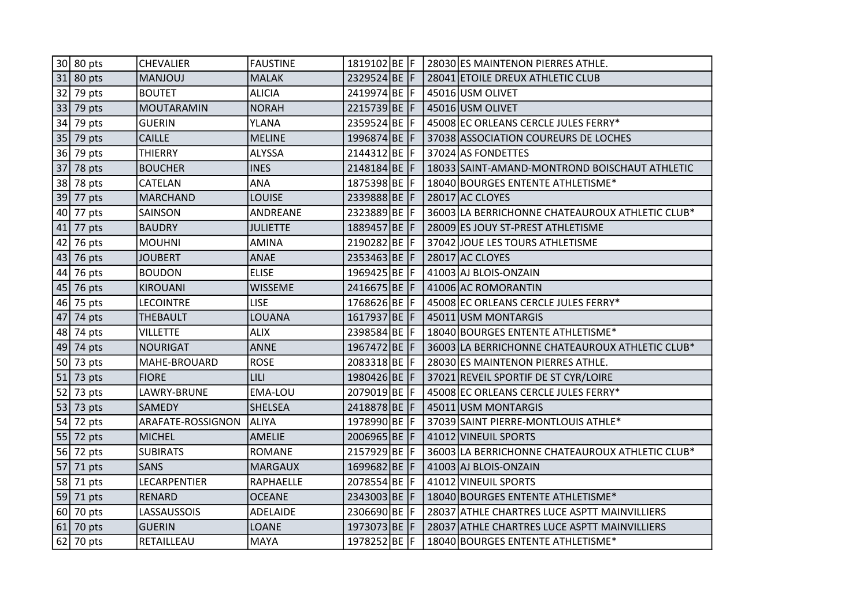|    | 30 80 pts   | <b>CHEVALIER</b>  | <b>FAUSTINE</b> | 1819102 BE F |  | 28030 ES MAINTENON PIERRES ATHLE.               |
|----|-------------|-------------------|-----------------|--------------|--|-------------------------------------------------|
| 31 | 80 pts      | <b>MANJOUJ</b>    | <b>MALAK</b>    | 2329524 BE F |  | 28041 ETOILE DREUX ATHLETIC CLUB                |
| 32 | 79 pts      | <b>BOUTET</b>     | <b>ALICIA</b>   | 2419974 BE F |  | 45016 USM OLIVET                                |
| 33 | 79 pts      | <b>MOUTARAMIN</b> | <b>NORAH</b>    | 2215739 BE F |  | 45016 USM OLIVET                                |
| 34 | 79 pts      | <b>GUERIN</b>     | YLANA           | 2359524 BE F |  | 45008 EC ORLEANS CERCLE JULES FERRY*            |
| 35 | 79 pts      | <b>CAILLE</b>     | <b>MELINE</b>   | 1996874 BE F |  | 37038 ASSOCIATION COUREURS DE LOCHES            |
| 36 | 79 pts      | <b>THIERRY</b>    | ALYSSA          | 2144312 BE F |  | 37024 AS FONDETTES                              |
| 37 | 78 pts      | <b>BOUCHER</b>    | <b>INES</b>     | 2148184 BE F |  | 18033 SAINT-AMAND-MONTROND BOISCHAUT ATHLETIC   |
|    | 38 78 pts   | CATELAN           | <b>ANA</b>      | 1875398 BE F |  | 18040 BOURGES ENTENTE ATHLETISME*               |
| 39 | 77 pts      | <b>MARCHAND</b>   | <b>LOUISE</b>   | 2339888BE F  |  | 28017 AC CLOYES                                 |
|    | 40 77 pts   | SAINSON           | ANDREANE        | 2323889 BE F |  | 36003 LA BERRICHONNE CHATEAUROUX ATHLETIC CLUB* |
| 41 | 77 pts      | <b>BAUDRY</b>     | <b>JULIETTE</b> | 1889457 BE F |  | 28009 ES JOUY ST-PREST ATHLETISME               |
| 42 | 76 pts      | <b>MOUHNI</b>     | <b>AMINA</b>    | 2190282BE F  |  | 37042 JOUE LES TOURS ATHLETISME                 |
| 43 | 76 pts      | <b>JOUBERT</b>    | <b>ANAE</b>     | 2353463 BE F |  | 28017 AC CLOYES                                 |
| 44 | 76 pts      | <b>BOUDON</b>     | <b>ELISE</b>    | 1969425 BE F |  | 41003 AJ BLOIS-ONZAIN                           |
|    | $45$ 76 pts | <b>KIROUANI</b>   | <b>WISSEME</b>  | 2416675 BE F |  | 41006 AC ROMORANTIN                             |
|    | $46$ 75 pts | <b>LECOINTRE</b>  | <b>LISE</b>     | 1768626BE F  |  | 45008 EC ORLEANS CERCLE JULES FERRY*            |
| 47 | 74 pts      | <b>THEBAULT</b>   | LOUANA          | 1617937 BE F |  | 45011 USM MONTARGIS                             |
| 48 | 74 pts      | <b>VILLETTE</b>   | <b>ALIX</b>     | 2398584 BE F |  | 18040 BOURGES ENTENTE ATHLETISME*               |
|    | $49$ 74 pts | <b>NOURIGAT</b>   | <b>ANNE</b>     | 1967472 BE F |  | 36003 LA BERRICHONNE CHATEAUROUX ATHLETIC CLUB* |
| 50 | 73 pts      | MAHE-BROUARD      | <b>ROSE</b>     | 2083318 BE F |  | 28030 ES MAINTENON PIERRES ATHLE.               |
| 51 | 73 pts      | <b>FIORE</b>      | <b>LILI</b>     | 1980426 BE F |  | 37021 REVEIL SPORTIF DE ST CYR/LOIRE            |
| 52 | 73 pts      | LAWRY-BRUNE       | EMA-LOU         | 2079019 BE F |  | 45008 EC ORLEANS CERCLE JULES FERRY*            |
| 53 | 73 pts      | <b>SAMEDY</b>     | <b>SHELSEA</b>  | 2418878 BE F |  | 45011 USM MONTARGIS                             |
| 54 | 72 pts      | ARAFATE-ROSSIGNON | <b>ALIYA</b>    | 1978990 BE F |  | 37039 SAINT PIERRE-MONTLOUIS ATHLE*             |
| 55 | 72 pts      | <b>MICHEL</b>     | <b>AMELIE</b>   | 2006965 BE F |  | 41012 VINEUIL SPORTS                            |
|    | $56$ 72 pts | <b>SUBIRATS</b>   | <b>ROMANE</b>   | 2157929 BE F |  | 36003 LA BERRICHONNE CHATEAUROUX ATHLETIC CLUB* |
| 57 | 71 pts      | <b>SANS</b>       | <b>MARGAUX</b>  | 1699682 BE F |  | 41003 AJ BLOIS-ONZAIN                           |
| 58 | 71 pts      | LECARPENTIER      | RAPHAELLE       | 2078554 BE F |  | 41012 VINEUIL SPORTS                            |
|    | $59$ 71 pts | <b>RENARD</b>     | <b>OCEANE</b>   | 2343003 BE F |  | 18040 BOURGES ENTENTE ATHLETISME*               |
| 60 | 70 pts      | LASSAUSSOIS       | ADELAIDE        | 2306690 BE F |  | 28037 ATHLE CHARTRES LUCE ASPTT MAINVILLIERS    |
| 61 | 70 pts      | <b>GUERIN</b>     | LOANE           | 1973073 BE F |  | 28037 ATHLE CHARTRES LUCE ASPTT MAINVILLIERS    |
| 62 | 70 pts      | RETAILLEAU        | <b>MAYA</b>     | 1978252 BE F |  | 18040 BOURGES ENTENTE ATHLETISME*               |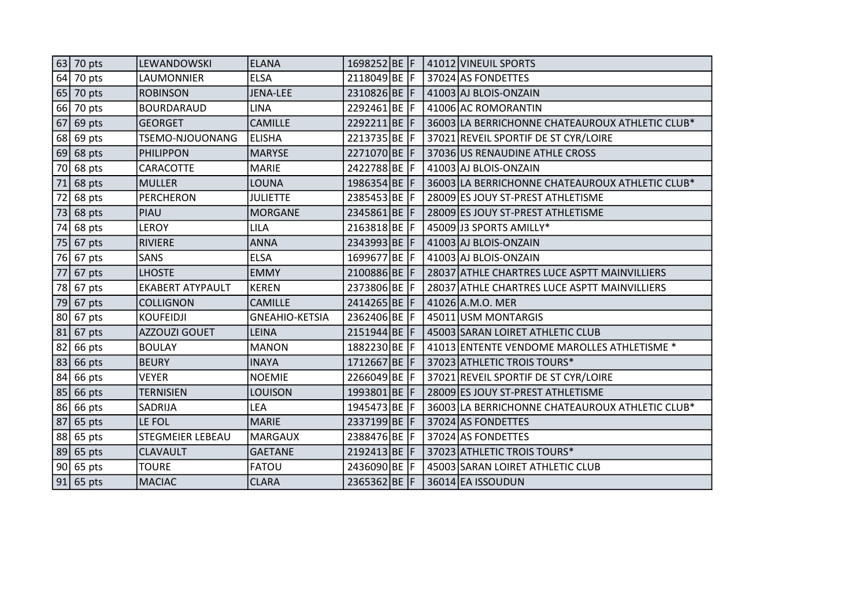|    | $63$ 70 pts | llewandowski            | <b>ELANA</b>          | 1698252 BE F |  | 41012 VINEUIL SPORTS                            |
|----|-------------|-------------------------|-----------------------|--------------|--|-------------------------------------------------|
| 64 | 70 pts      | LAUMONNIER              | <b>ELSA</b>           | 2118049 BE F |  | 37024 AS FONDETTES                              |
| 65 | 70 pts      | <b>ROBINSON</b>         | <b>JENA-LEE</b>       | 2310826 BE F |  | 41003 AJ BLOIS-ONZAIN                           |
| 66 | 70 pts      | <b>BOURDARAUD</b>       | LINA                  | 2292461 BE F |  | 41006 AC ROMORANTIN                             |
| 67 | 69 pts      | <b>GEORGET</b>          | <b>CAMILLE</b>        | 2292211 BE F |  | 36003 LA BERRICHONNE CHATEAUROUX ATHLETIC CLUB* |
| 68 | 69 pts      | TSEMO-NJOUONANG         | <b>ELISHA</b>         | 2213735 BE F |  | 37021 REVEIL SPORTIF DE ST CYR/LOIRE            |
| 69 | 68 pts      | <b>PHILIPPON</b>        | <b>MARYSE</b>         | 2271070 BE F |  | 37036 US RENAUDINE ATHLE CROSS                  |
| 70 | 68 pts      | CARACOTTE               | <b>MARIE</b>          | 2422788 BE F |  | 41003 AJ BLOIS-ONZAIN                           |
| 71 | 68 pts      | <b>MULLER</b>           | LOUNA                 | 1986354 BE F |  | 36003 LA BERRICHONNE CHATEAUROUX ATHLETIC CLUB* |
| 72 | 68 pts      | <b>PERCHERON</b>        | <b>JULIETTE</b>       | 2385453 BE F |  | 28009 ES JOUY ST-PREST ATHLETISME               |
| 73 | 68 pts      | PIAU                    | <b>MORGANE</b>        | 2345861 BE F |  | 28009 ES JOUY ST-PREST ATHLETISME               |
| 74 | 68 pts      | <b>LEROY</b>            | LILA                  | 2163818 BE F |  | 45009 J3 SPORTS AMILLY*                         |
| 75 | 67 pts      | <b>RIVIERE</b>          | <b>ANNA</b>           | 2343993 BE F |  | 41003 AJ BLOIS-ONZAIN                           |
| 76 | 67 pts      | <b>SANS</b>             | <b>ELSA</b>           | 1699677 BE F |  | 41003 AJ BLOIS-ONZAIN                           |
| 77 | 67 pts      | <b>LHOSTE</b>           | <b>EMMY</b>           | 2100886 BE F |  | 28037 ATHLE CHARTRES LUCE ASPTT MAINVILLIERS    |
| 78 | 67 pts      | <b>EKABERT ATYPAULT</b> | <b>KEREN</b>          | 2373806 BE F |  | 28037 ATHLE CHARTRES LUCE ASPTT MAINVILLIERS    |
| 79 | 67 pts      | <b>COLLIGNON</b>        | CAMILLE               | 2414265 BE F |  | 41026 A.M.O. MER                                |
| 80 | 67 pts      | <b>KOUFEIDJI</b>        | <b>GNEAHIO-KETSIA</b> | 2362406 BE F |  | 45011 USM MONTARGIS                             |
| 81 | 67 pts      | AZZOUZI GOUET           | LEINA                 | 2151944 BE F |  | 45003 SARAN LOIRET ATHLETIC CLUB                |
| 82 | 66 pts      | <b>BOULAY</b>           | <b>MANON</b>          | 1882230 BE F |  | 41013 ENTENTE VENDOME MAROLLES ATHLETISME *     |
| 83 | 66 pts      | <b>BEURY</b>            | <b>INAYA</b>          | 1712667 BE F |  | 37023 ATHLETIC TROIS TOURS*                     |
| 84 | 66 pts      | <b>VEYER</b>            | <b>NOEMIE</b>         | 2266049 BE F |  | 37021 REVEIL SPORTIF DE ST CYR/LOIRE            |
| 85 | 66 pts      | <b>TERNISIEN</b>        | <b>LOUISON</b>        | 1993801 BE F |  | 28009 ES JOUY ST-PREST ATHLETISME               |
| 86 | 66 pts      | SADRIJA                 | LEA                   | 1945473 BE F |  | 36003 LA BERRICHONNE CHATEAUROUX ATHLETIC CLUB* |
| 87 | 65 pts      | LE FOL                  | <b>MARIE</b>          | 2337199 BE F |  | 37024 AS FONDETTES                              |
| 88 | 65 pts      | <b>STEGMEIER LEBEAU</b> | <b>MARGAUX</b>        | 2388476 BE F |  | 37024 AS FONDETTES                              |
| 89 | 65 pts      | CLAVAULT                | <b>GAETANE</b>        | 2192413 BE F |  | 37023 ATHLETIC TROIS TOURS*                     |
| 90 | 65 pts      | <b>TOURE</b>            | FATOU                 | 2436090 BE F |  | 45003 SARAN LOIRET ATHLETIC CLUB                |
|    | $91$ 65 pts | <b>MACIAC</b>           | <b>CLARA</b>          | 2365362 BE F |  | 36014 EA ISSOUDUN                               |
|    |             |                         |                       |              |  |                                                 |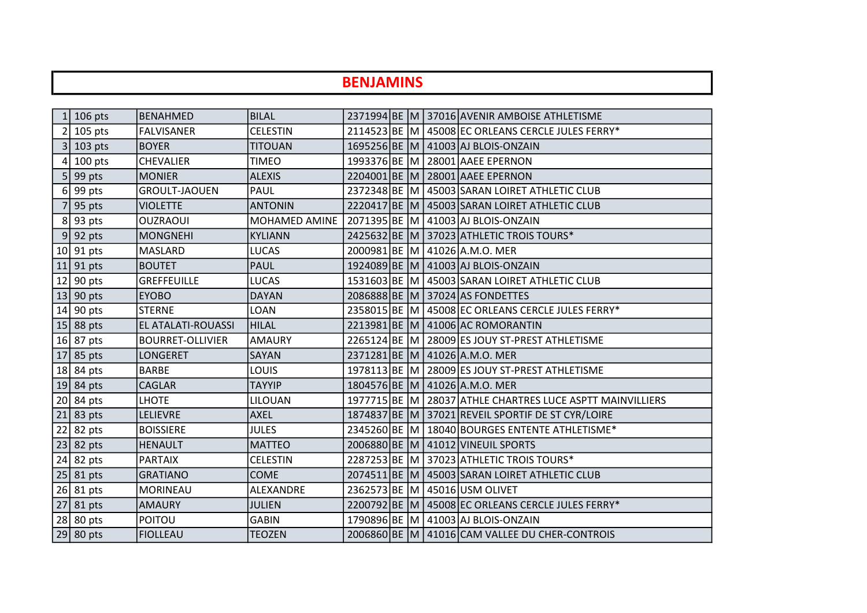## BENJAMINS

| $\mathbf{1}$    | 106 pts                   | BENAHMED                | <b>BILAL</b>    |  |  | 2371994 BE M 37016 AVENIR AMBOISE ATHLETISME              |
|-----------------|---------------------------|-------------------------|-----------------|--|--|-----------------------------------------------------------|
| $\overline{2}$  | 105 pts                   | <b>FALVISANER</b>       | <b>CELESTIN</b> |  |  | 2114523 BE M   45008 EC ORLEANS CERCLE JULES FERRY*       |
|                 | 3 <sup>1</sup><br>103 pts | <b>BOYER</b>            | <b>TITOUAN</b>  |  |  | 1695256 BE M 41003 AJ BLOIS-ONZAIN                        |
| 4               | $100$ pts                 | <b>CHEVALIER</b>        | TIMEO           |  |  | 1993376 BE M 28001 AAEE EPERNON                           |
|                 | 5 <sub>l</sub><br>99 pts  | <b>MONIER</b>           | <b>ALEXIS</b>   |  |  | 2204001 BE M 28001 AAEE EPERNON                           |
| 6               | 99 pts                    | <b>GROULT-JAOUEN</b>    | PAUL            |  |  | 2372348 BE M 45003 SARAN LOIRET ATHLETIC CLUB             |
| 7               | 95 pts                    | <b>VIOLETTE</b>         | <b>ANTONIN</b>  |  |  | 2220417 BE M 45003 SARAN LOIRET ATHLETIC CLUB             |
| 8               | 93 pts                    | <b>OUZRAOUI</b>         | MOHAMED AMINE   |  |  | 2071395 BE M 41003 AJ BLOIS-ONZAIN                        |
| 9               | 92 pts                    | <b>MONGNEHI</b>         | <b>KYLIANN</b>  |  |  | 2425632 BE M 37023 ATHLETIC TROIS TOURS*                  |
| 10 <sup>1</sup> | 91 pts                    | <b>MASLARD</b>          | LUCAS           |  |  | 2000981 BE M 41026 A.M.O. MER                             |
| 11              | 91 pts                    | <b>BOUTET</b>           | <b>PAUL</b>     |  |  | 1924089 BE M 41003 AJ BLOIS-ONZAIN                        |
| 12              | 90 pts                    | <b>GREFFEUILLE</b>      | LUCAS           |  |  | 1531603 BE M   45003 SARAN LOIRET ATHLETIC CLUB           |
| 13              | 90 pts                    | <b>EYOBO</b>            | <b>DAYAN</b>    |  |  | 2086888 BE M 37024 AS FONDETTES                           |
|                 | $14$ 90 pts               | <b>STERNE</b>           | LOAN            |  |  | 2358015 BE M 45008 EC ORLEANS CERCLE JULES FERRY*         |
|                 | $15$ 88 pts               | EL ATALATI-ROUASSI      | <b>HILAL</b>    |  |  | 2213981 BE M 41006 AC ROMORANTIN                          |
| 16              | 87 pts                    | <b>BOURRET-OLLIVIER</b> | <b>AMAURY</b>   |  |  | 2265124 BE M 28009 ES JOUY ST-PREST ATHLETISME            |
| 17              | 85 pts                    | <b>LONGERET</b>         | SAYAN           |  |  | 2371281 BE M 41026 A.M.O. MER                             |
| 18              | 84 pts                    | <b>BARBE</b>            | LOUIS           |  |  | 1978113 BE M 28009 ES JOUY ST-PREST ATHLETISME            |
| 19              | 84 pts                    | <b>CAGLAR</b>           | <b>TAYYIP</b>   |  |  | 1804576 BE M 41026 A.M.O. MER                             |
| 20              | 84 pts                    | <b>LHOTE</b>            | LILOUAN         |  |  | 1977715 BE M 28037 ATHLE CHARTRES LUCE ASPTT MAINVILLIERS |
| 21              | 83 pts                    | <b>LELIEVRE</b>         | <b>AXEL</b>     |  |  | 1874837 BE M 37021 REVEIL SPORTIF DE ST CYR/LOIRE         |
| 22              | 82 pts                    | <b>BOISSIERE</b>        | <b>JULES</b>    |  |  | 2345260 BE M   18040 BOURGES ENTENTE ATHLETISME*          |
| 23              | 82 pts                    | <b>HENAULT</b>          | <b>MATTEO</b>   |  |  | 2006880 BE M 41012 VINEUIL SPORTS                         |
|                 | $24$ 82 pts               | <b>PARTAIX</b>          | <b>CELESTIN</b> |  |  | 2287253 BE M 37023 ATHLETIC TROIS TOURS*                  |
| 25              | 81 pts                    | <b>GRATIANO</b>         | <b>COME</b>     |  |  | 2074511 BE M   45003 SARAN LOIRET ATHLETIC CLUB           |
|                 | $26$ 81 pts               | <b>MORINEAU</b>         | ALEXANDRE       |  |  | 2362573 BE M 45016 USM OLIVET                             |
| 27              | 81 pts                    | <b>AMAURY</b>           | <b>JULIEN</b>   |  |  | 2200792 BE M 45008 EC ORLEANS CERCLE JULES FERRY*         |
| 28              | 80 pts                    | <b>POITOU</b>           | <b>GABIN</b>    |  |  | 1790896 BE M 41003 AJ BLOIS-ONZAIN                        |
|                 | $29$ 80 pts               | <b>FIOLLEAU</b>         | <b>TEOZEN</b>   |  |  | 2006860 BE M 41016 CAM VALLEE DU CHER-CONTROIS            |
|                 |                           |                         |                 |  |  |                                                           |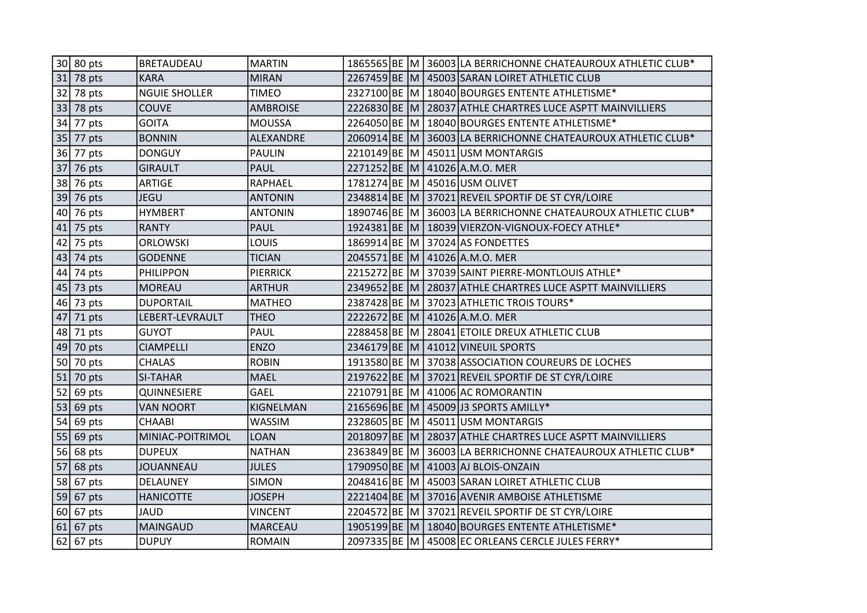|    | 30 80 pts   | <b>BRETAUDEAU</b>    | <b>MARTIN</b>   |              |  | 1865565 BE M 36003 LA BERRICHONNE CHATEAUROUX ATHLETIC CLUB* |
|----|-------------|----------------------|-----------------|--------------|--|--------------------------------------------------------------|
| 31 | 78 pts      | <b>KARA</b>          | <b>MIRAN</b>    |              |  | 2267459 BE M 45003 SARAN LOIRET ATHLETIC CLUB                |
| 32 | 78 pts      | <b>NGUIE SHOLLER</b> | <b>TIMEO</b>    |              |  | 2327100 BE M 18040 BOURGES ENTENTE ATHLETISME*               |
| 33 | 78 pts      | <b>COUVE</b>         | <b>AMBROISE</b> |              |  | 2226830 BE M 28037 ATHLE CHARTRES LUCE ASPTT MAINVILLIERS    |
| 34 | 77 pts      | <b>GOITA</b>         | <b>MOUSSA</b>   |              |  | 2264050 BE M   18040 BOURGES ENTENTE ATHLETISME*             |
| 35 | 77 pts      | <b>BONNIN</b>        | ALEXANDRE       |              |  | 2060914 BE M 36003 LA BERRICHONNE CHATEAUROUX ATHLETIC CLUB* |
| 36 | 77 pts      | <b>DONGUY</b>        | <b>PAULIN</b>   |              |  | 2210149 BE M 45011 USM MONTARGIS                             |
| 37 | 76 pts      | <b>GIRAULT</b>       | <b>PAUL</b>     |              |  | 2271252 BE M 41026 A.M.O. MER                                |
| 38 | 76 pts      | <b>ARTIGE</b>        | RAPHAEL         |              |  | 1781274 BE M 45016 USM OLIVET                                |
| 39 | 76 pts      | <b>JEGU</b>          | <b>ANTONIN</b>  |              |  | 2348814 BE M 37021 REVEIL SPORTIF DE ST CYR/LOIRE            |
|    | $40$ 76 pts | <b>HYMBERT</b>       | <b>ANTONIN</b>  |              |  | 1890746 BE M 36003 LA BERRICHONNE CHATEAUROUX ATHLETIC CLUB* |
| 41 | 75 pts      | <b>RANTY</b>         | <b>PAUL</b>     |              |  | 1924381 BE M   18039 VIERZON-VIGNOUX-FOECY ATHLE*            |
| 42 | 75 pts      | <b>ORLOWSKI</b>      | LOUIS           |              |  | 1869914 BE M 37024 AS FONDETTES                              |
| 43 | 74 pts      | <b>GODENNE</b>       | <b>TICIAN</b>   |              |  | 2045571 BE M 41026 A.M.O. MER                                |
| 44 | 74 pts      | <b>PHILIPPON</b>     | <b>PIERRICK</b> |              |  | 2215272 BE M 37039 SAINT PIERRE-MONTLOUIS ATHLE*             |
|    | $45$ 73 pts | <b>MOREAU</b>        | <b>ARTHUR</b>   |              |  | 2349652 BE M 28037 ATHLE CHARTRES LUCE ASPTT MAINVILLIERS    |
|    | 46 73 pts   | <b>DUPORTAIL</b>     | <b>MATHEO</b>   |              |  | 2387428 BE M 37023 ATHLETIC TROIS TOURS*                     |
| 47 | 71 pts      | LEBERT-LEVRAULT      | <b>THEO</b>     |              |  | 2222672 BE M 41026 A.M.O. MER                                |
| 48 | 71 pts      | <b>GUYOT</b>         | PAUL            |              |  | 2288458 BE M 28041 ETOILE DREUX ATHLETIC CLUB                |
| 49 | 70 pts      | <b>CIAMPELLI</b>     | <b>ENZO</b>     |              |  | 2346179 BE M 41012 VINEUIL SPORTS                            |
| 50 | 70 pts      | <b>CHALAS</b>        | <b>ROBIN</b>    |              |  | 1913580 BE M 37038 ASSOCIATION COUREURS DE LOCHES            |
| 51 | 70 pts      | <b>SI-TAHAR</b>      | <b>MAEL</b>     |              |  | 2197622 BE M 37021 REVEIL SPORTIF DE ST CYR/LOIRE            |
| 52 | 69 pts      | QUINNESIERE          | GAEL            | 2210791 BE M |  | 41006 AC ROMORANTIN                                          |
| 53 | 69 pts      | <b>VAN NOORT</b>     | KIGNELMAN       |              |  | 2165696 BE M 45009 J3 SPORTS AMILLY*                         |
| 54 | 69 pts      | CHAABI               | WASSIM          |              |  | 2328605 BE M 45011 USM MONTARGIS                             |
| 55 | 69 pts      | MINIAC-POITRIMOL     | <b>LOAN</b>     |              |  | 2018097 BE M 28037 ATHLE CHARTRES LUCE ASPTT MAINVILLIERS    |
| 56 | 68 pts      | <b>DUPEUX</b>        | <b>NATHAN</b>   | 2363849 BE M |  | 36003 LA BERRICHONNE CHATEAUROUX ATHLETIC CLUB*              |
| 57 | 68 pts      | <b>JOUANNEAU</b>     | <b>JULES</b>    |              |  | 1790950 BE M 41003 AJ BLOIS-ONZAIN                           |
| 58 | 67 pts      | DELAUNEY             | <b>SIMON</b>    |              |  | 2048416 BE M   45003 SARAN LOIRET ATHLETIC CLUB              |
| 59 | 67 pts      | <b>HANICOTTE</b>     | <b>JOSEPH</b>   |              |  | 2221404 BE M 37016 AVENIR AMBOISE ATHLETISME                 |
| 60 | 67 pts      | <b>JAUD</b>          | VINCENT         |              |  | 2204572 BE M 37021 REVEIL SPORTIF DE ST CYR/LOIRE            |
| 61 | 67 pts      | <b>MAINGAUD</b>      | <b>MARCEAU</b>  |              |  | 1905199 BE M   18040 BOURGES ENTENTE ATHLETISME*             |
| 62 | 67 pts      | <b>DUPUY</b>         | <b>ROMAIN</b>   |              |  | 2097335 BE M 45008 EC ORLEANS CERCLE JULES FERRY*            |